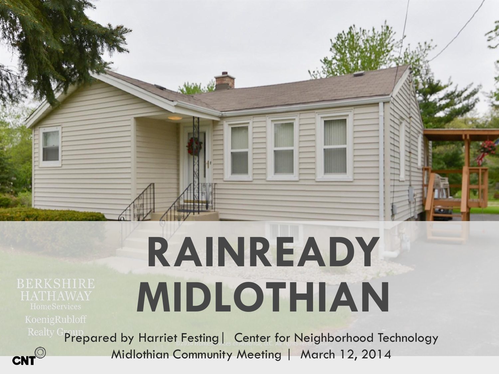# **RAINREADY MIDLOTHIAN**

Photo Credit: solidether/Flickr, Creative Commons License

Prepared by Harriet Festing| Center for Neighborhood Technology Midlothian Community Meeting | March 12, 2014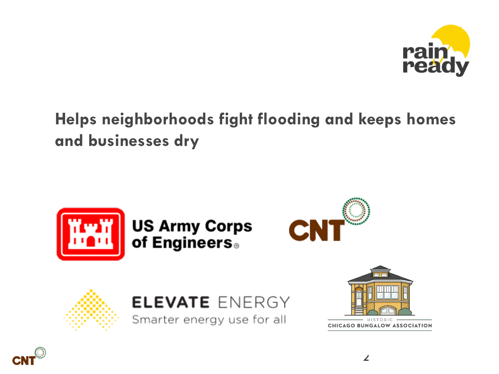

### **Helps neighborhoods fight flooding and keeps homes and businesses dry**



**US Army Corps of Engineers** 









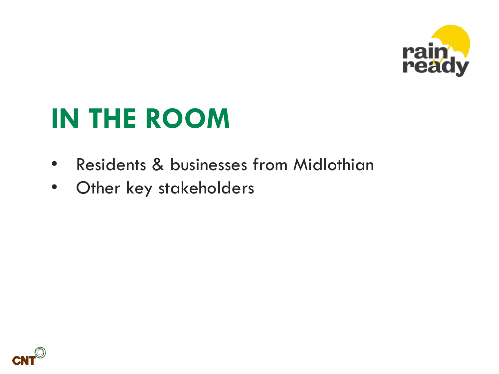

### **IN THE ROOM**

- Residents & businesses from Midlothian
- Other key stakeholders

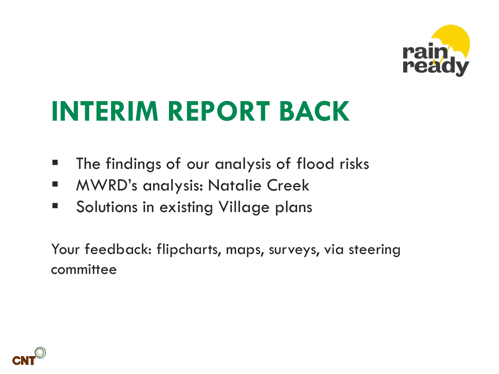

### **INTERIM REPORT BACK**

- **The findings of our analysis of flood risks**
- MWRD's analysis: Natalie Creek
- **Solutions in existing Village plans**

Your feedback: flipcharts, maps, surveys, via steering committee

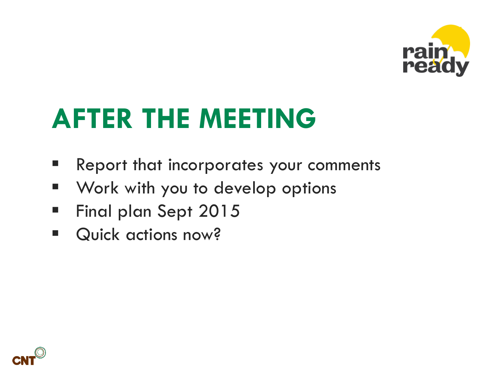

### **AFTER THE MEETING**

- **P** Report that incorporates your comments
- **Work with you to develop options**
- **Final plan Sept 2015**
- **E** Quick actions now?

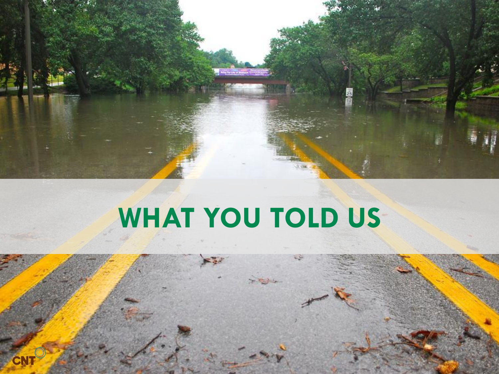

### **WHAT YOU TOLD US**

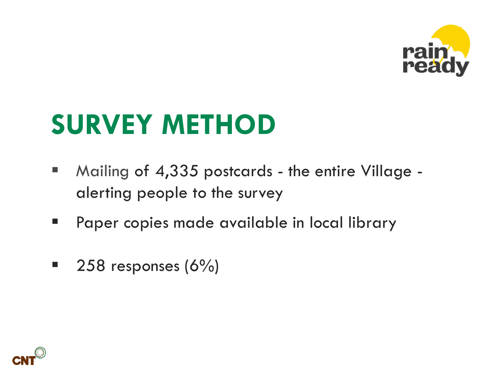

### **SURVEY METHOD**

- Mailing of 4,335 postcards the entire Village alerting people to the survey
- **Paper copies made available in local library**
- $\blacksquare$  258 responses (6%)

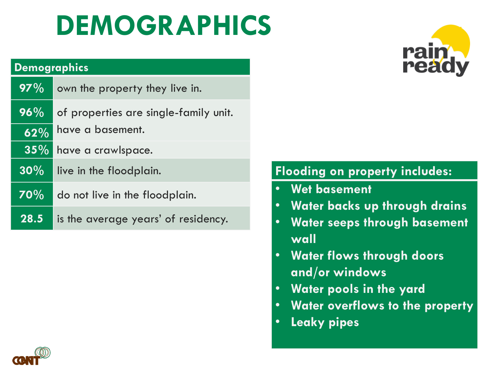### **DEMOGRAPHICS**

#### **Demographics**

| $97\%$ | own the property they live in.        |
|--------|---------------------------------------|
| $96\%$ | of properties are single-family unit. |
| $62\%$ | have a basement.                      |
| 35%    | have a crawlspace.                    |
| $30\%$ | live in the floodplain.               |
| 70%    | do not live in the floodplain.        |
| 28.5   | is the average years' of residency.   |



#### **Flooding on property includes:**

- **Wet basement**
- **Water backs up through drains**
- **Water seeps through basement wall**
- **Water flows through doors and/or windows**
- **Water pools in the yard**
- **Water overflows to the property**
- **Leaky pipes**

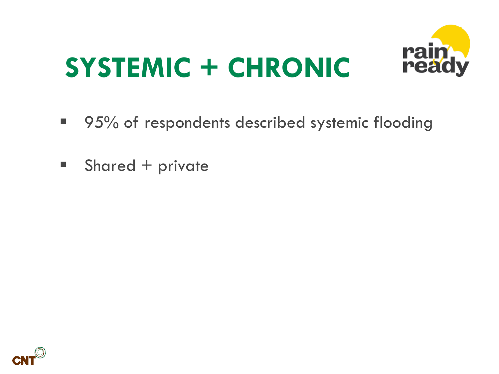## **SYSTEMIC + CHRONIC**



- 95% of respondents described systemic flooding
- **Shared + private**

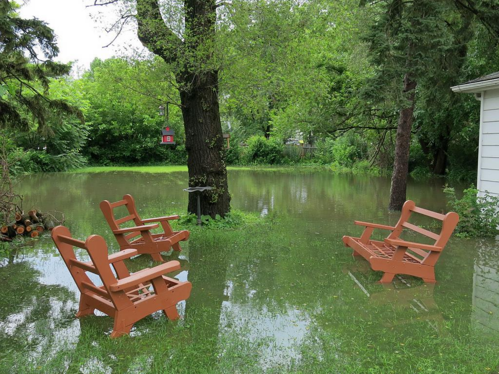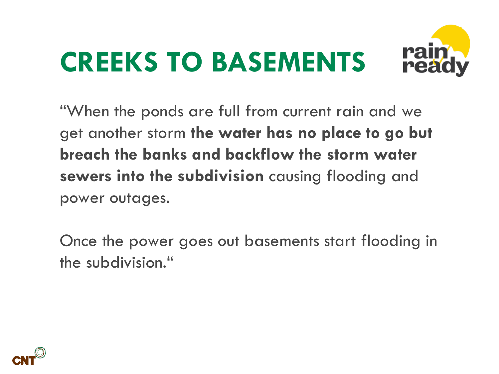### **CREEKS TO BASEMENTS**



"When the ponds are full from current rain and we get another storm **the water has no place to go but breach the banks and backflow the storm water sewers into the subdivision** causing flooding and power outages.

Once the power goes out basements start flooding in the subdivision."

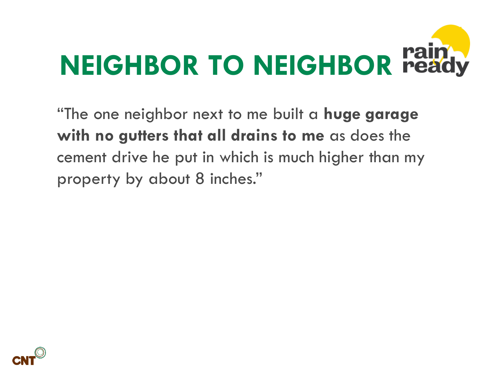

"The one neighbor next to me built a **huge garage with no gutters that all drains to me** as does the cement drive he put in which is much higher than my property by about 8 inches."

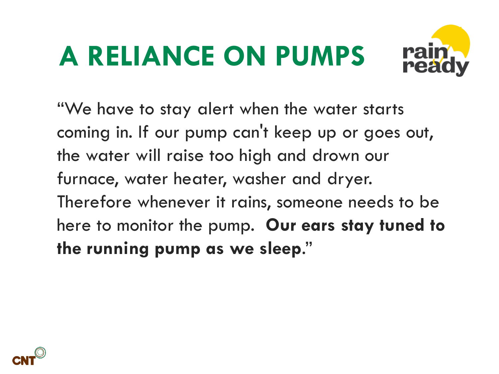### **A RELIANCE ON PUMPS**



"We have to stay alert when the water starts coming in. If our pump can't keep up or goes out, the water will raise too high and drown our furnace, water heater, washer and dryer. Therefore whenever it rains, someone needs to be here to monitor the pump. **Our ears stay tuned to the running pump as we sleep**."

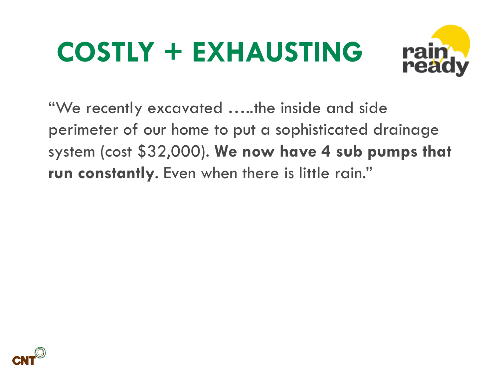### **COSTLY + EXHAUSTING**



"We recently excavated …..the inside and side perimeter of our home to put a sophisticated drainage system (cost \$32,000). **We now have 4 sub pumps that run constantly**. Even when there is little rain."

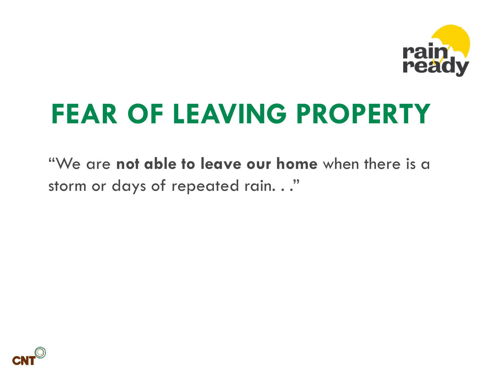

### **FEAR OF LEAVING PROPERTY**

"We are **not able to leave our home** when there is a storm or days of repeated rain. . ."

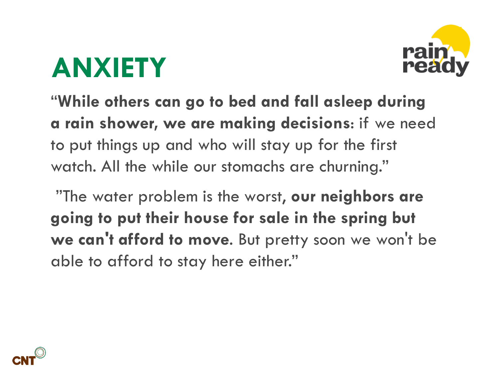### **ANXIETY**



"**While others can go to bed and fall asleep during a rain shower, we are making decisions**: if we need to put things up and who will stay up for the first watch. All the while our stomachs are churning."

"The water problem is the worst, **our neighbors are going to put their house for sale in the spring but we can't afford to move**. But pretty soon we won't be able to afford to stay here either."

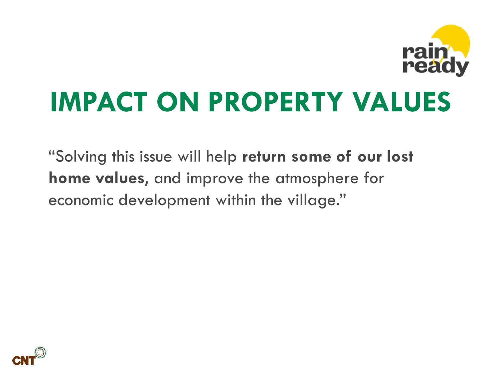

### **IMPACT ON PROPERTY VALUES**

"Solving this issue will help **return some of our lost home values**, and improve the atmosphere for economic development within the village."

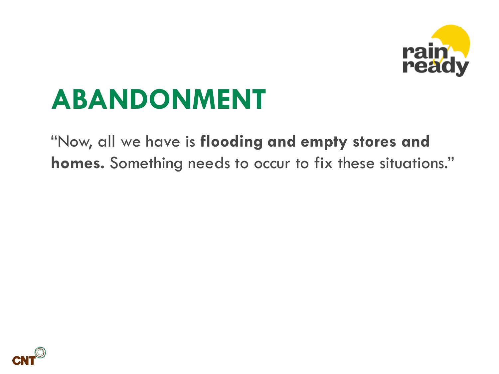

### **ABANDONMENT**

#### "Now, all we have is **flooding and empty stores and homes.** Something needs to occur to fix these situations."

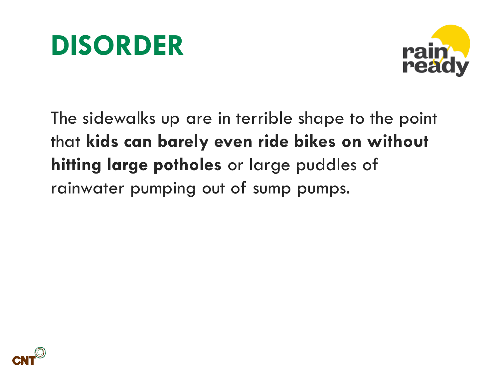



The sidewalks up are in terrible shape to the point that **kids can barely even ride bikes on without hitting large potholes** or large puddles of rainwater pumping out of sump pumps.